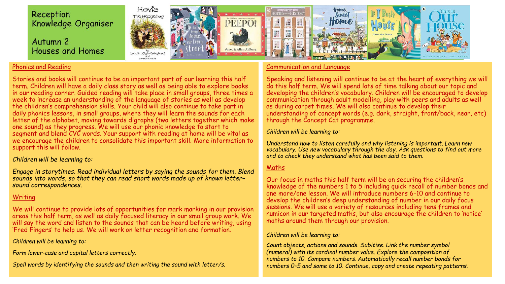

# Phonics and Reading

Stories and books will continue to be an important part of our learning this half term. Children will have a daily class story as well as being able to explore books in our reading corner. Guided reading will take place in small groups, three times a week to increase an understanding of the language of stories as well as develop the children's comprehension skills. Your child will also continue to take part in daily phonics lessons, in small groups, where they will learn the sounds for each letter of the alphabet, moving towards digraphs (two letters together which make one sound) as they progress. We will use our phonic knowledge to start to segment and blend CVC words. Your support with reading at home will be vital as we encourage the children to consolidate this important skill. More information to support this will follow.

## *Children will be learning to:*

*Engage in storytimes. Read individual letters by saying the sounds for them. Blend sounds into words, so that they can read short words made up of known letter– sound correspondences.*

# **Writing**

We will continue to provide lots of opportunities for mark marking in our provision areas this half term, as well as daily focused literacy in our small group work. We will say the word and listen to the sounds that can be heard before writing, using 'Fred Fingers' to help us. We will work on letter recognition and formation.

## *Children will be learning to:*

*Form lower-case and capital letters correctly.*

*Spell words by identifying the sounds and then writing the sound with letter/s.*

# Communication and Language

Speaking and listening will continue to be at the heart of everything we will do this half term. We will spend lots of time talking about our topic and developing the children's vocabulary. Children will be encouraged to develop communication through adult modelling, play with peers and adults as well as during carpet times. We will also continue to develop their understanding of concept words (e.g. dark, straight, front/back, near, etc) through the Concept Cat programme.

## *Children will be learning to:*

*Understand how to listen carefully and why listening is important. Learn new vocabulary. Use new vocabulary through the day. Ask questions to find out more and to check they understand what has been said to them.*

# Maths

Our focus in maths this half term will be on securing the children's knowledge of the numbers 1 to 5 including quick recall of number bonds and one more/one lesson. We will introduce numbers 6-10 and continue to develop the children's deep understanding of number in our daily focus sessions. We will use a variety of resources including tens frames and numicon in our targeted maths, but also encourage the children to 'notice' maths around them through our provision.

### *Children will be learning to:*

*Count objects, actions and sounds. Subitise. Link the number symbol (numeral) with its cardinal number value. Explore the composition of numbers to 10. Compare numbers. Automatically recall number bonds for numbers 0–5 and some to 10. Continue, copy and create repeating patterns.*